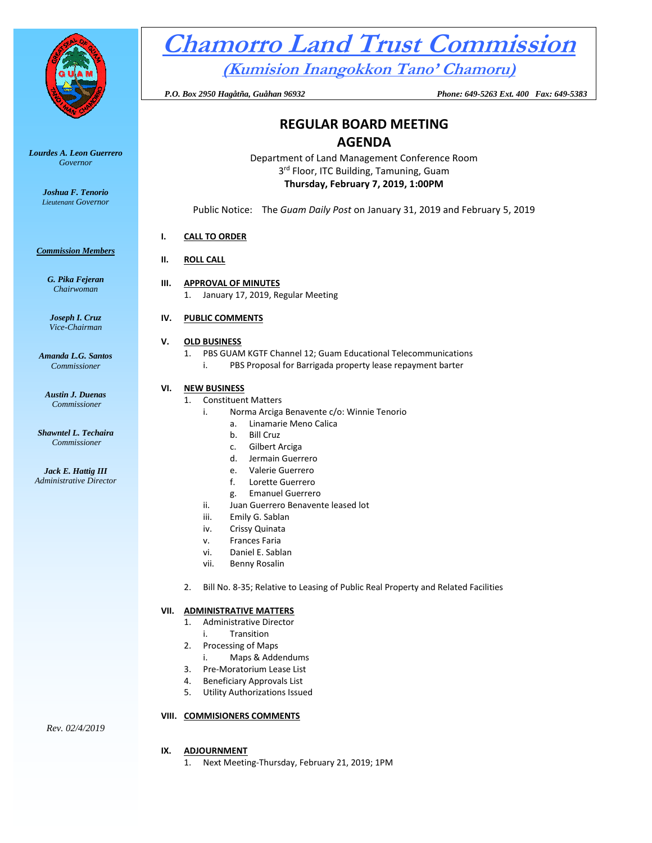

*Lourdes A. Leon Guerrero Governor* 

> *Joshua F. Tenorio Lieutenant Governor*

#### *Commission Members*

*G. Pika Fejeran Chairwoman*

*Joseph I. Cruz Vice-Chairman*

*Amanda L.G. Santos Commissioner*

*Austin J. Duenas Commissioner*

*Shawntel L. Techaira Commissioner*

*Jack E. Hattig III Administrative Director*

# **Chamorro Land Trust Commission**

**(Kumision Inangokkon Tano' Chamoru)**

 *P.O. Box 2950 Hagåtña, Guåhan 96932 Phone: 649-5263 Ext. 400 Fax: 649-5383*

## **REGULAR BOARD MEETING AGENDA**

Department of Land Management Conference Room 3<sup>rd</sup> Floor, ITC Building, Tamuning, Guam **Thursday, February 7, 2019, 1:00PM**

Public Notice: The *Guam Daily Post* on January 31, 2019 and February 5, 2019

#### **I. CALL TO ORDER**

### **II. ROLL CALL**

**III. APPROVAL OF MINUTES** 1. January 17, 2019, Regular Meeting

#### **IV. PUBLIC COMMENTS**

#### **V. OLD BUSINESS**

1. PBS GUAM KGTF Channel 12; Guam Educational Telecommunications i. PBS Proposal for Barrigada property lease repayment barter

#### **VI. NEW BUSINESS**

- 1. Constituent Matters
	- i. Norma Arciga Benavente c/o: Winnie Tenorio
		- a. Linamarie Meno Calica
			- b. Bill Cruz
			- c. Gilbert Arciga
			- d. Jermain Guerrero
			- e. Valerie Guerrero
			- f. Lorette Guerrero
		- g. Emanuel Guerrero
	- ii. Juan Guerrero Benavente leased lot
	- iii. Emily G. Sablan
	- iv. Crissy Quinata
	- v. Frances Faria
	- vi. Daniel E. Sablan
	- vii. Benny Rosalin
	- 2. Bill No. 8-35; Relative to Leasing of Public Real Property and Related Facilities

#### **VII. ADMINISTRATIVE MATTERS**

- 1. Administrative Director
	- i. Transition
- 2. Processing of Maps
	- i. Maps & Addendums
- 3. Pre-Moratorium Lease List
- 4. Beneficiary Approvals List
- 5. Utility Authorizations Issued

#### **VIII. COMMISIONERS COMMENTS**

- **IX. ADJOURNMENT**
	- 1. Next Meeting-Thursday, February 21, 2019; 1PM

*Rev. 02/4/2019*